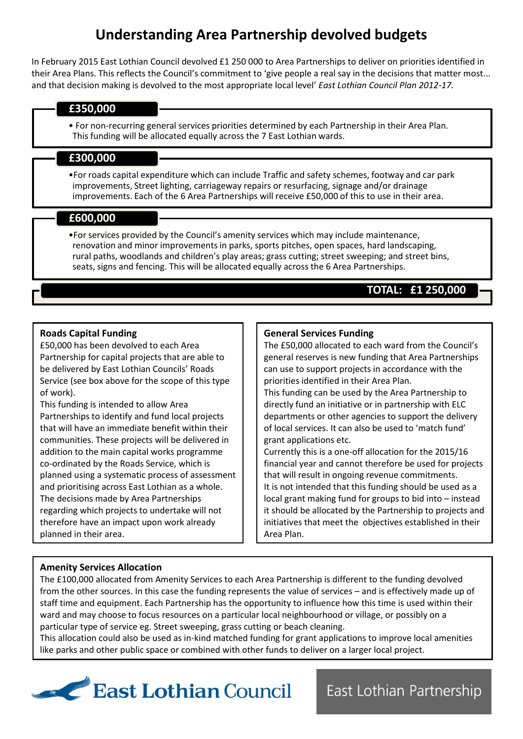# **Understanding Area Partnership devolved budgets**

In February 2015 East Lothian Council devolved £1 250 000 to Area Partnerships to deliver on priorities identified in their Area Plans. This reflects the Council's commitment to 'give people a real say in the decisions that matter most... and that decision making is devolved to the most appropriate local level' *East Lothian Council Plan 2012-17.*

## **£350,000**

• For non-recurring general services priorities determined by each Partnership in their Area Plan. This funding will be allocated equally across the 7 East Lothian wards.

# **£300,000**

•For roads capital expenditure which can include Traffic and safety schemes, footway and car park improvements, Street lighting, carriageway repairs or resurfacing, signage and/or drainage improvements. Each of the 6 Area Partnerships will receive £50,000 of this to use in their area.

# **£600,000**

•For services provided by the Council's amenity services which may include maintenance, renovation and minor improvements in parks, sports pitches, open spaces, hard landscaping, rural paths, woodlands and children's play areas; grass cutting; street sweeping; and street bins, seats, signs and fencing. This will be allocated equally across the 6 Area Partnerships.

# **TOTAL: £1 250,000**

## **Roads Capital Funding**

£50,000 has been devolved to each Area Partnership for capital projects that are able to be delivered by East Lothian Councils' Roads Service (see box above for the scope of this type of work).

This funding is intended to allow Area Partnerships to identify and fund local projects that will have an immediate benefit within their communities. These projects will be delivered in addition to the main capital works programme co-ordinated by the Roads Service, which is planned using a systematic process of assessment and prioritising across East Lothian as a whole. The decisions made by Area Partnerships regarding which projects to undertake will not therefore have an impact upon work already planned in their area.

## **General Services Funding**

The £50,000 allocated to each ward from the Council's general reserves is new funding that Area Partnerships can use to support projects in accordance with the priorities identified in their Area Plan.

This funding can be used by the Area Partnership to directly fund an initiative or in partnership with ELC departments or other agencies to support the delivery of local services. It can also be used to 'match fund' grant applications etc.

Currently this is a one-off allocation for the 2015/16 financial year and cannot therefore be used for projects that will result in ongoing revenue commitments. It is not intended that this funding should be used as a local grant making fund for groups to bid into – instead it should be allocated by the Partnership to projects and initiatives that meet the objectives established in their Area Plan.

East Lothian Partnership

## **Amenity Services Allocation**

The £100,000 allocated from Amenity Services to each Area Partnership is different to the funding devolved from the other sources. In this case the funding represents the value of services – and is effectively made up of staff time and equipment. Each Partnership has the opportunity to influence how this time is used within their ward and may choose to focus resources on a particular local neighbourhood or village, or possibly on a particular type of service eg. Street sweeping, grass cutting or beach cleaning.

This allocation could also be used as in-kind matched funding for grant applications to improve local amenities like parks and other public space or combined with other funds to deliver on a larger local project.